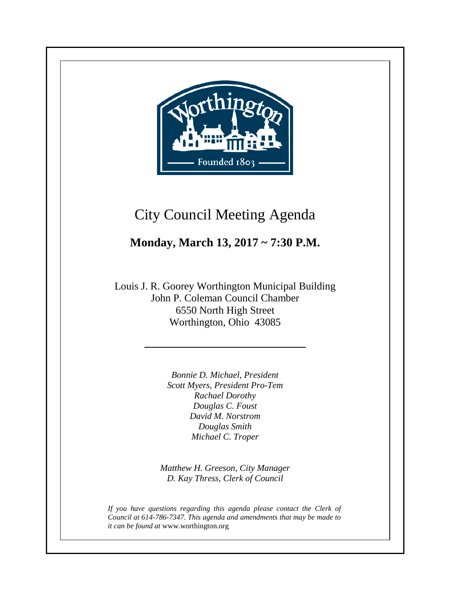

**+**

# City Council Meeting Agenda

# **Monday, March 13, 2017 ~ 7:30 P.M.**

Louis J. R. Goorey Worthington Municipal Building John P. Coleman Council Chamber 6550 North High Street Worthington, Ohio 43085

> *Bonnie D. Michael, President Scott Myers, President Pro-Tem Rachael Dorothy Douglas C. Foust David M. Norstrom Douglas Smith Michael C. Troper*

*Matthew H. Greeson, City Manager D. Kay Thress, Clerk of Council*

*If you have questions regarding this agenda please contact the Clerk of Council at 614-786-7347. This agenda and amendments that may be made to it can be found at* www.worthington.org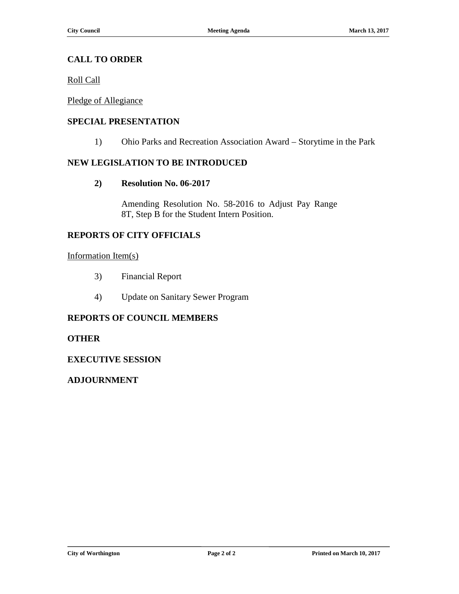#### **CALL TO ORDER**

Roll Call

Pledge of Allegiance

#### **SPECIAL PRESENTATION**

1) Ohio Parks and Recreation Association Award – Storytime in the Park

#### **NEW LEGISLATION TO BE INTRODUCED**

**2) Resolution No. 06-2017**

Amending Resolution No. 58-2016 to Adjust Pay Range 8T, Step B for the Student Intern Position.

#### **REPORTS OF CITY OFFICIALS**

#### Information Item(s)

- 3) Financial Report
- 4) Update on Sanitary Sewer Program

#### **REPORTS OF COUNCIL MEMBERS**

#### **OTHER**

#### **EXECUTIVE SESSION**

#### **ADJOURNMENT**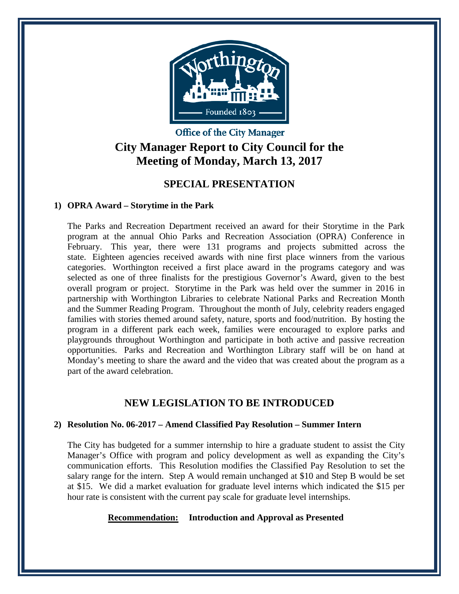

# **Office of the City Manager City Manager Report to City Council for the Meeting of Monday, March 13, 2017**

### **SPECIAL PRESENTATION**

#### **1) OPRA Award – Storytime in the Park**

The Parks and Recreation Department received an award for their Storytime in the Park program at the annual Ohio Parks and Recreation Association (OPRA) Conference in February. This year, there were 131 programs and projects submitted across the state. Eighteen agencies received awards with nine first place winners from the various categories. Worthington received a first place award in the programs category and was selected as one of three finalists for the prestigious Governor's Award, given to the best overall program or project. Storytime in the Park was held over the summer in 2016 in partnership with Worthington Libraries to celebrate National Parks and Recreation Month and the Summer Reading Program. Throughout the month of July, celebrity readers engaged families with stories themed around safety, nature, sports and food/nutrition. By hosting the program in a different park each week, families were encouraged to explore parks and playgrounds throughout Worthington and participate in both active and passive recreation opportunities. Parks and Recreation and Worthington Library staff will be on hand at Monday's meeting to share the award and the video that was created about the program as a part of the award celebration.

## **NEW LEGISLATION TO BE INTRODUCED**

#### **2) Resolution No. 06-2017 – Amend Classified Pay Resolution – Summer Intern**

The City has budgeted for a summer internship to hire a graduate student to assist the City Manager's Office with program and policy development as well as expanding the City's communication efforts. This Resolution modifies the Classified Pay Resolution to set the salary range for the intern. Step A would remain unchanged at \$10 and Step B would be set at \$15. We did a market evaluation for graduate level interns which indicated the \$15 per hour rate is consistent with the current pay scale for graduate level internships.

#### **Recommendation: Introduction and Approval as Presented**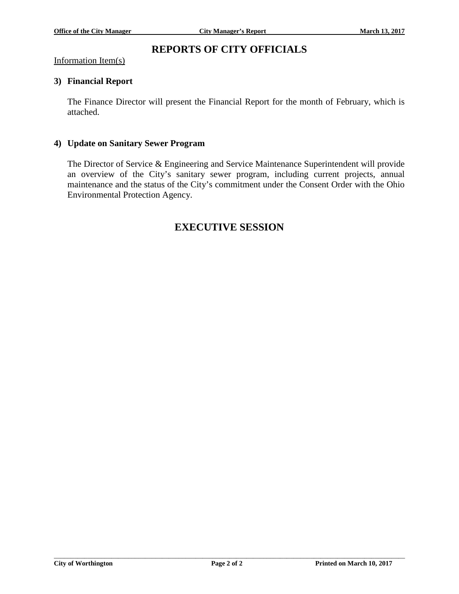### **REPORTS OF CITY OFFICIALS**

Information Item(s)

#### **3) Financial Report**

The Finance Director will present the Financial Report for the month of February, which is attached.

#### **4) Update on Sanitary Sewer Program**

The Director of Service & Engineering and Service Maintenance Superintendent will provide an overview of the City's sanitary sewer program, including current projects, annual maintenance and the status of the City's commitment under the Consent Order with the Ohio Environmental Protection Agency.

### **EXECUTIVE SESSION**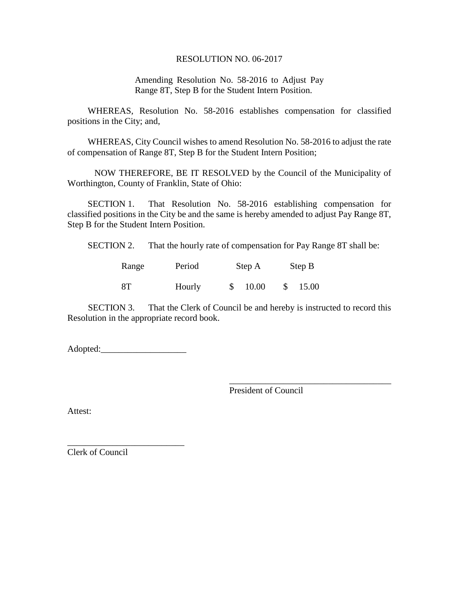#### RESOLUTION NO. 06-2017

Amending Resolution No. 58-2016 to Adjust Pay Range 8T, Step B for the Student Intern Position.

WHEREAS, Resolution No. 58-2016 establishes compensation for classified positions in the City; and,

WHEREAS, City Council wishes to amend Resolution No. 58-2016 to adjust the rate of compensation of Range 8T, Step B for the Student Intern Position;

NOW THEREFORE, BE IT RESOLVED by the Council of the Municipality of Worthington, County of Franklin, State of Ohio:

SECTION 1. That Resolution No. 58-2016 establishing compensation for classified positions in the City be and the same is hereby amended to adjust Pay Range 8T, Step B for the Student Intern Position.

SECTION 2. That the hourly rate of compensation for Pay Range 8T shall be:

| Range | Period | Step A | Step B |       |  |  |
|-------|--------|--------|--------|-------|--|--|
| 8T    | Hourly | 10.00  |        | 15.00 |  |  |

SECTION 3. That the Clerk of Council be and hereby is instructed to record this Resolution in the appropriate record book.

Adopted:\_\_\_\_\_\_\_\_\_\_\_\_\_\_\_\_\_\_\_

\_\_\_\_\_\_\_\_\_\_\_\_\_\_\_\_\_\_\_\_\_\_\_\_\_\_

\_\_\_\_\_\_\_\_\_\_\_\_\_\_\_\_\_\_\_\_\_\_\_\_\_\_\_\_\_\_\_\_\_\_\_\_ President of Council

Attest:

Clerk of Council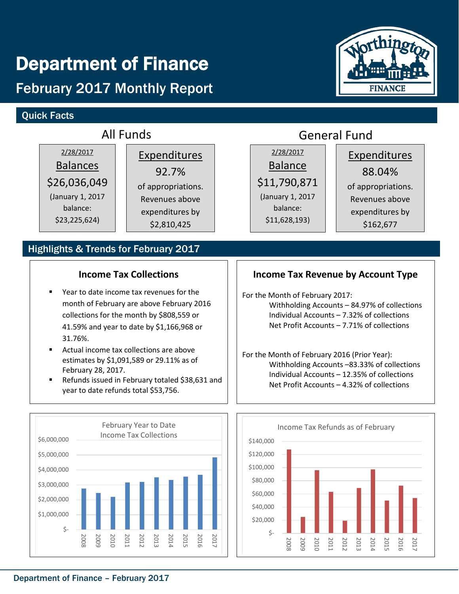# Department of Finance

# February 2017 Monthly Report

# Quick Facts



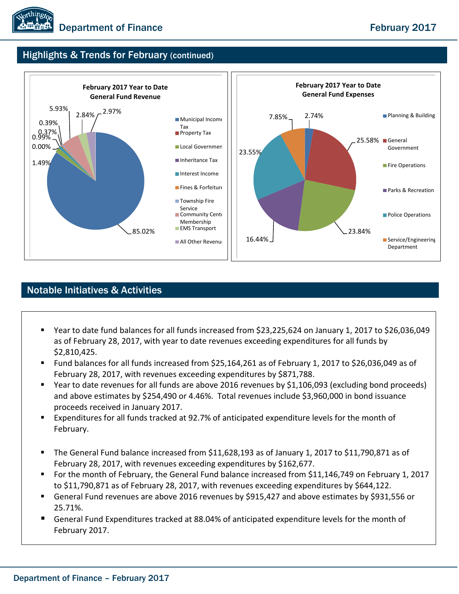

## Highlights & Trends for February (continued)



## Notable Initiatives & Activities

- Year to date fund balances for all funds increased from \$23,225,624 on January 1, 2017 to \$26,036,049 as of February 28, 2017, with year to date revenues exceeding expenditures for all funds by \$2,810,425.
- Fund balances for all funds increased from \$25,164,261 as of February 1, 2017 to \$26,036,049 as of February 28, 2017, with revenues exceeding expenditures by \$871,788.
- Year to date revenues for all funds are above 2016 revenues by \$1,106,093 (excluding bond proceeds) and above estimates by \$254,490 or 4.46%. Total revenues include \$3,960,000 in bond issuance proceeds received in January 2017.
- Expenditures for all funds tracked at 92.7% of anticipated expenditure levels for the month of February.
- The General Fund balance increased from \$11,628,193 as of January 1, 2017 to \$11,790,871 as of February 28, 2017, with revenues exceeding expenditures by \$162,677.
- For the month of February, the General Fund balance increased from \$11,146,749 on February 1, 2017 to \$11,790,871 as of February 28, 2017, with revenues exceeding expenditures by \$644,122.
- General Fund revenues are above 2016 revenues by \$915,427 and above estimates by \$931,556 or 25.71%.
- General Fund Expenditures tracked at 88.04% of anticipated expenditure levels for the month of February 2017.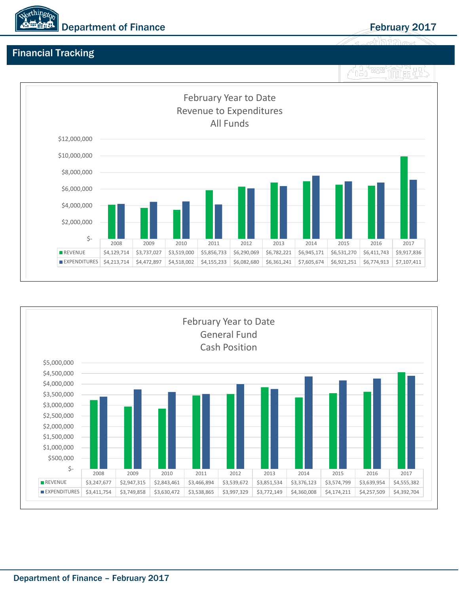

# Financial Tracking





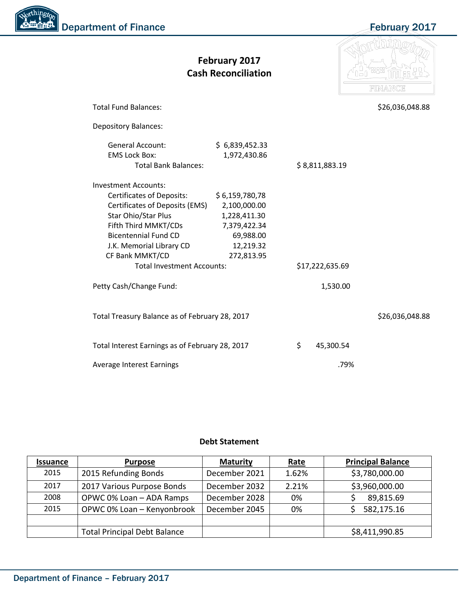| <b>Northington</b><br><b>Christian Department of Finance</b> |
|--------------------------------------------------------------|
|                                                              |
|                                                              |

February 2017

|                                                                                                                                                                                                                                                                     | February 2017<br><b>Cash Reconciliation</b>                                                            |                 |           | FINANCE         |
|---------------------------------------------------------------------------------------------------------------------------------------------------------------------------------------------------------------------------------------------------------------------|--------------------------------------------------------------------------------------------------------|-----------------|-----------|-----------------|
| <b>Total Fund Balances:</b>                                                                                                                                                                                                                                         |                                                                                                        |                 |           | \$26,036,048.88 |
| <b>Depository Balances:</b>                                                                                                                                                                                                                                         |                                                                                                        |                 |           |                 |
| <b>General Account:</b><br><b>EMS Lock Box:</b><br><b>Total Bank Balances:</b>                                                                                                                                                                                      | \$6,839,452.33<br>1,972,430.86                                                                         | \$8,811,883.19  |           |                 |
| <b>Investment Accounts:</b><br><b>Certificates of Deposits:</b><br>Certificates of Deposits (EMS)<br>Star Ohio/Star Plus<br>Fifth Third MMKT/CDs<br><b>Bicentennial Fund CD</b><br>J.K. Memorial Library CD<br>CF Bank MMKT/CD<br><b>Total Investment Accounts:</b> | \$6,159,780,78<br>2,100,000.00<br>1,228,411.30<br>7,379,422.34<br>69,988.00<br>12,219.32<br>272,813.95 | \$17,222,635.69 |           |                 |
| Petty Cash/Change Fund:                                                                                                                                                                                                                                             |                                                                                                        |                 | 1,530.00  |                 |
| Total Treasury Balance as of February 28, 2017                                                                                                                                                                                                                      |                                                                                                        |                 |           | \$26,036,048.88 |
| Total Interest Earnings as of February 28, 2017                                                                                                                                                                                                                     |                                                                                                        | \$              | 45,300.54 |                 |
| <b>Average Interest Earnings</b>                                                                                                                                                                                                                                    |                                                                                                        |                 | .79%      |                 |

#### **Debt Statement**

| <b>Issuance</b> | <b>Purpose</b>                      | <b>Maturity</b> | <u>Rate</u> | <b>Principal Balance</b> |  |  |
|-----------------|-------------------------------------|-----------------|-------------|--------------------------|--|--|
| 2015            | 2015 Refunding Bonds                | December 2021   | 1.62%       | \$3,780,000.00           |  |  |
| 2017            | 2017 Various Purpose Bonds          | December 2032   | 2.21%       | \$3,960,000.00           |  |  |
| 2008            | OPWC 0% Loan - ADA Ramps            | December 2028   | 0%          | 89,815.69                |  |  |
| 2015            | OPWC 0% Loan - Kenyonbrook          | December 2045   | 0%          | 582,175.16               |  |  |
|                 |                                     |                 |             |                          |  |  |
|                 | <b>Total Principal Debt Balance</b> |                 |             | \$8,411,990.85           |  |  |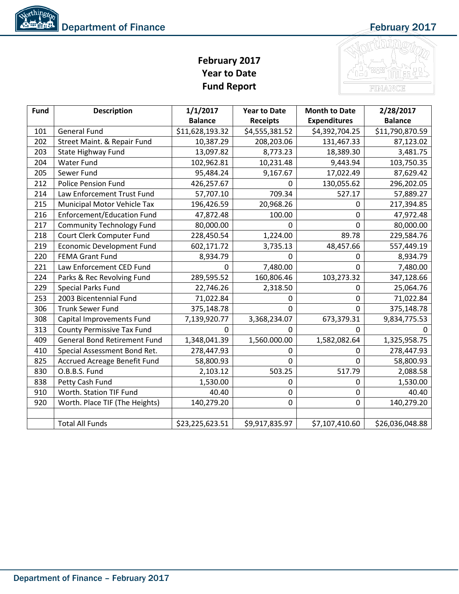# **February 2017 Year to Date Fund Report**



| Fund | <b>Description</b>                  | 1/1/2017        | <b>Year to Date</b> | <b>Month to Date</b> | 2/28/2017       |  |  |
|------|-------------------------------------|-----------------|---------------------|----------------------|-----------------|--|--|
|      |                                     | <b>Balance</b>  | <b>Receipts</b>     | <b>Expenditures</b>  | <b>Balance</b>  |  |  |
| 101  | <b>General Fund</b>                 | \$11,628,193.32 | \$4,555,381.52      | \$4,392,704.25       | \$11,790,870.59 |  |  |
| 202  | Street Maint. & Repair Fund         | 10,387.29       | 208,203.06          | 131,467.33           | 87,123.02       |  |  |
| 203  | State Highway Fund                  | 13,097.82       | 8,773.23            | 18,389.30            | 3,481.75        |  |  |
| 204  | <b>Water Fund</b>                   | 102,962.81      | 10,231.48           | 9,443.94             | 103,750.35      |  |  |
| 205  | Sewer Fund                          | 95,484.24       | 9,167.67            | 17,022.49            | 87,629.42       |  |  |
| 212  | <b>Police Pension Fund</b>          | 426,257.67      | 0                   | 130,055.62           | 296,202.05      |  |  |
| 214  | Law Enforcement Trust Fund          | 57,707.10       | 709.34              | 527.17               | 57,889.27       |  |  |
| 215  | Municipal Motor Vehicle Tax         | 196,426.59      | 20,968.26           | 0                    | 217,394.85      |  |  |
| 216  | Enforcement/Education Fund          | 47,872.48       | 100.00              | 0                    | 47,972.48       |  |  |
| 217  | <b>Community Technology Fund</b>    | 80,000.00       | 0                   | 0                    | 80,000.00       |  |  |
| 218  | Court Clerk Computer Fund           | 228,450.54      | 1,224.00            | 89.78                | 229,584.76      |  |  |
| 219  | <b>Economic Development Fund</b>    | 602,171.72      | 3,735.13            | 48,457.66            | 557,449.19      |  |  |
| 220  | <b>FEMA Grant Fund</b>              | 8,934.79        | $\Omega$            | 0                    | 8,934.79        |  |  |
| 221  | Law Enforcement CED Fund            | 0               | 7,480.00            | 0                    | 7,480.00        |  |  |
| 224  | Parks & Rec Revolving Fund          | 289,595.52      | 160,806.46          | 103,273.32           | 347,128.66      |  |  |
| 229  | <b>Special Parks Fund</b>           | 22,746.26       | 2,318.50            | 0                    | 25,064.76       |  |  |
| 253  | 2003 Bicentennial Fund              | 71,022.84       | 0                   | 0                    | 71,022.84       |  |  |
| 306  | <b>Trunk Sewer Fund</b>             | 375,148.78      | $\mathbf 0$         | 0                    | 375,148.78      |  |  |
| 308  | Capital Improvements Fund           | 7,139,920.77    | 3,368,234.07        | 673,379.31           | 9,834,775.53    |  |  |
| 313  | <b>County Permissive Tax Fund</b>   | $\Omega$        | $\Omega$            | 0                    | $\Omega$        |  |  |
| 409  | <b>General Bond Retirement Fund</b> | 1,348,041.39    | 1,560.000.00        | 1,582,082.64         | 1,325,958.75    |  |  |
| 410  | Special Assessment Bond Ret.        | 278,447.93      | 0                   | 0                    | 278,447.93      |  |  |
| 825  | <b>Accrued Acreage Benefit Fund</b> | 58,800.93       | $\Omega$            | 0                    | 58,800.93       |  |  |
| 830  | O.B.B.S. Fund                       | 2,103.12        | 503.25              | 517.79               | 2,088.58        |  |  |
| 838  | Petty Cash Fund                     | 1,530.00        | 0                   | 0                    | 1,530.00        |  |  |
| 910  | Worth. Station TIF Fund             | 40.40           | 0                   | 0                    | 40.40           |  |  |
| 920  | Worth. Place TIF (The Heights)      | 140,279.20      | 0                   | 0                    | 140,279.20      |  |  |
|      |                                     |                 |                     |                      |                 |  |  |
|      | <b>Total All Funds</b>              | \$23,225,623.51 | \$9,917,835.97      | \$7,107,410.60       | \$26,036,048.88 |  |  |